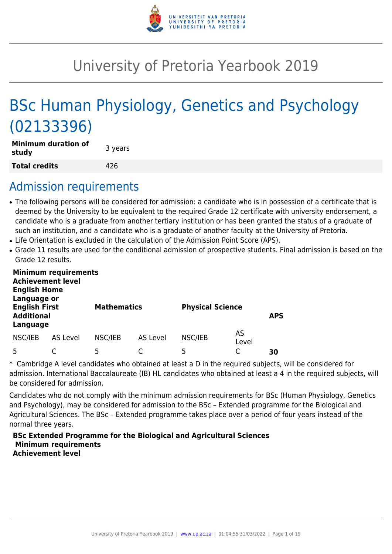

# University of Pretoria Yearbook 2019

# BSc Human Physiology, Genetics and Psychology (02133396)

| <b>Minimum duration of</b><br>study | 3 years |
|-------------------------------------|---------|
| <b>Total credits</b>                | 426     |

# Admission requirements

- The following persons will be considered for admission: a candidate who is in possession of a certificate that is deemed by the University to be equivalent to the required Grade 12 certificate with university endorsement, a candidate who is a graduate from another tertiary institution or has been granted the status of a graduate of such an institution, and a candidate who is a graduate of another faculty at the University of Pretoria.
- Life Orientation is excluded in the calculation of the Admission Point Score (APS).
- Grade 11 results are used for the conditional admission of prospective students. Final admission is based on the Grade 12 results.

| <b>Minimum requirements</b><br><b>Achievement level</b><br><b>English Home</b><br>Language or |          |                    |          |                         |             |            |
|-----------------------------------------------------------------------------------------------|----------|--------------------|----------|-------------------------|-------------|------------|
| <b>English First</b><br><b>Additional</b><br>Language                                         |          | <b>Mathematics</b> |          | <b>Physical Science</b> |             | <b>APS</b> |
| NSC/IEB                                                                                       | AS Level | NSC/IEB            | AS Level | NSC/IEB                 | AS<br>Level |            |
| 5                                                                                             |          | 5                  |          | 5                       |             | 30         |

\* Cambridge A level candidates who obtained at least a D in the required subjects, will be considered for admission. International Baccalaureate (IB) HL candidates who obtained at least a 4 in the required subjects, will be considered for admission.

Candidates who do not comply with the minimum admission requirements for BSc (Human Physiology, Genetics and Psychology), may be considered for admission to the BSc – Extended programme for the Biological and Agricultural Sciences. The BSc – Extended programme takes place over a period of four years instead of the normal three years.

#### **BSc Extended Programme for the Biological and Agricultural Sciences Minimum requirements Achievement level**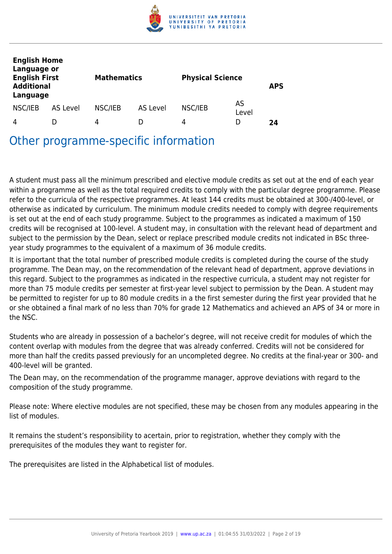

| <b>English Home</b><br>Language or<br><b>English First</b><br><b>Additional</b><br>Language |          | <b>Mathematics</b> |          | <b>Physical Science</b> |             | <b>APS</b> |
|---------------------------------------------------------------------------------------------|----------|--------------------|----------|-------------------------|-------------|------------|
| NSC/IEB                                                                                     | AS Level | NSC/IEB            | AS Level | NSC/IEB                 | AS<br>Level |            |
| 4                                                                                           |          | 4                  |          | 4                       | D           | 24         |

Other programme-specific information

A student must pass all the minimum prescribed and elective module credits as set out at the end of each year within a programme as well as the total required credits to comply with the particular degree programme. Please refer to the curricula of the respective programmes. At least 144 credits must be obtained at 300-/400-level, or otherwise as indicated by curriculum. The minimum module credits needed to comply with degree requirements is set out at the end of each study programme. Subject to the programmes as indicated a maximum of 150 credits will be recognised at 100-level. A student may, in consultation with the relevant head of department and subject to the permission by the Dean, select or replace prescribed module credits not indicated in BSc threeyear study programmes to the equivalent of a maximum of 36 module credits.

It is important that the total number of prescribed module credits is completed during the course of the study programme. The Dean may, on the recommendation of the relevant head of department, approve deviations in this regard. Subject to the programmes as indicated in the respective curricula, a student may not register for more than 75 module credits per semester at first-year level subject to permission by the Dean. A student may be permitted to register for up to 80 module credits in a the first semester during the first year provided that he or she obtained a final mark of no less than 70% for grade 12 Mathematics and achieved an APS of 34 or more in the NSC.

Students who are already in possession of a bachelor's degree, will not receive credit for modules of which the content overlap with modules from the degree that was already conferred. Credits will not be considered for more than half the credits passed previously for an uncompleted degree. No credits at the final-year or 300- and 400-level will be granted.

The Dean may, on the recommendation of the programme manager, approve deviations with regard to the composition of the study programme.

Please note: Where elective modules are not specified, these may be chosen from any modules appearing in the list of modules.

It remains the student's responsibility to acertain, prior to registration, whether they comply with the prerequisites of the modules they want to register for.

The prerequisites are listed in the Alphabetical list of modules.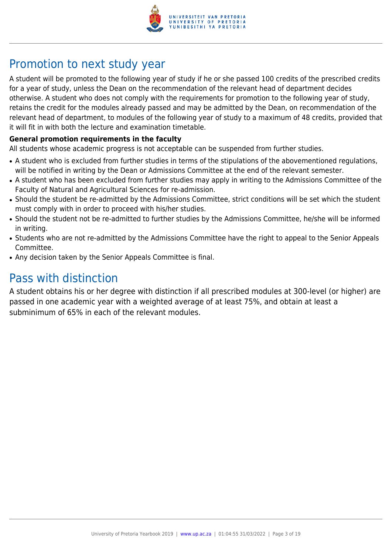

# Promotion to next study year

A student will be promoted to the following year of study if he or she passed 100 credits of the prescribed credits for a year of study, unless the Dean on the recommendation of the relevant head of department decides otherwise. A student who does not comply with the requirements for promotion to the following year of study, retains the credit for the modules already passed and may be admitted by the Dean, on recommendation of the relevant head of department, to modules of the following year of study to a maximum of 48 credits, provided that it will fit in with both the lecture and examination timetable.

## **General promotion requirements in the faculty**

All students whose academic progress is not acceptable can be suspended from further studies.

- A student who is excluded from further studies in terms of the stipulations of the abovementioned regulations, will be notified in writing by the Dean or Admissions Committee at the end of the relevant semester.
- A student who has been excluded from further studies may apply in writing to the Admissions Committee of the Faculty of Natural and Agricultural Sciences for re-admission.
- Should the student be re-admitted by the Admissions Committee, strict conditions will be set which the student must comply with in order to proceed with his/her studies.
- Should the student not be re-admitted to further studies by the Admissions Committee, he/she will be informed in writing.
- Students who are not re-admitted by the Admissions Committee have the right to appeal to the Senior Appeals Committee.
- Any decision taken by the Senior Appeals Committee is final.

# Pass with distinction

A student obtains his or her degree with distinction if all prescribed modules at 300-level (or higher) are passed in one academic year with a weighted average of at least 75%, and obtain at least a subminimum of 65% in each of the relevant modules.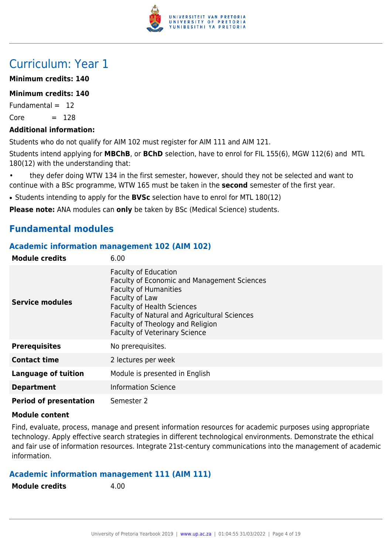

# Curriculum: Year 1

# **Minimum credits: 140**

# **Minimum credits: 140**

Fundamental  $= 12$  $Core = 128$ 

# **Additional information:**

Students who do not qualify for AIM 102 must register for AIM 111 and AIM 121.

Students intend applying for **MBChB**, or **BChD** selection, have to enrol for FIL 155(6), MGW 112(6) and MTL 180(12) with the understanding that:

• they defer doing WTW 134 in the first semester, however, should they not be selected and want to continue with a BSc programme, WTW 165 must be taken in the **second** semester of the first year.

• Students intending to apply for the **BVSc** selection have to enrol for MTL 180(12)

**Please note:** ANA modules can **only** be taken by BSc (Medical Science) students.

# **Fundamental modules**

# **Academic information management 102 (AIM 102)**

| <b>Module credits</b>         | 6.00                                                                                                                                                                                                                                                                                                 |
|-------------------------------|------------------------------------------------------------------------------------------------------------------------------------------------------------------------------------------------------------------------------------------------------------------------------------------------------|
| <b>Service modules</b>        | <b>Faculty of Education</b><br><b>Faculty of Economic and Management Sciences</b><br><b>Faculty of Humanities</b><br>Faculty of Law<br><b>Faculty of Health Sciences</b><br>Faculty of Natural and Agricultural Sciences<br>Faculty of Theology and Religion<br><b>Faculty of Veterinary Science</b> |
| <b>Prerequisites</b>          | No prerequisites.                                                                                                                                                                                                                                                                                    |
| <b>Contact time</b>           | 2 lectures per week                                                                                                                                                                                                                                                                                  |
| <b>Language of tuition</b>    | Module is presented in English                                                                                                                                                                                                                                                                       |
| <b>Department</b>             | <b>Information Science</b>                                                                                                                                                                                                                                                                           |
| <b>Period of presentation</b> | Semester 2                                                                                                                                                                                                                                                                                           |

## **Module content**

Find, evaluate, process, manage and present information resources for academic purposes using appropriate technology. Apply effective search strategies in different technological environments. Demonstrate the ethical and fair use of information resources. Integrate 21st-century communications into the management of academic information.

# **Academic information management 111 (AIM 111)**

**Module credits** 4.00

| <b>Module credits</b> |  |  |
|-----------------------|--|--|
|-----------------------|--|--|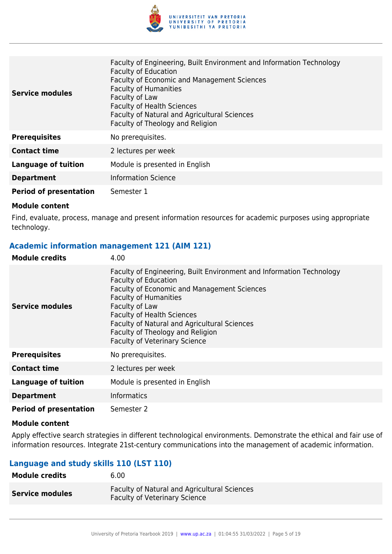

| <b>Service modules</b>        | Faculty of Engineering, Built Environment and Information Technology<br><b>Faculty of Education</b><br><b>Faculty of Economic and Management Sciences</b><br><b>Faculty of Humanities</b><br>Faculty of Law<br><b>Faculty of Health Sciences</b><br>Faculty of Natural and Agricultural Sciences<br>Faculty of Theology and Religion |
|-------------------------------|--------------------------------------------------------------------------------------------------------------------------------------------------------------------------------------------------------------------------------------------------------------------------------------------------------------------------------------|
| <b>Prerequisites</b>          | No prerequisites.                                                                                                                                                                                                                                                                                                                    |
| <b>Contact time</b>           | 2 lectures per week                                                                                                                                                                                                                                                                                                                  |
| <b>Language of tuition</b>    | Module is presented in English                                                                                                                                                                                                                                                                                                       |
| <b>Department</b>             | <b>Information Science</b>                                                                                                                                                                                                                                                                                                           |
| <b>Period of presentation</b> | Semester 1                                                                                                                                                                                                                                                                                                                           |

Find, evaluate, process, manage and present information resources for academic purposes using appropriate technology.

# **Academic information management 121 (AIM 121)**

| <b>Module credits</b>         | 4.00                                                                                                                                                                                                                                                                                                                                                                  |
|-------------------------------|-----------------------------------------------------------------------------------------------------------------------------------------------------------------------------------------------------------------------------------------------------------------------------------------------------------------------------------------------------------------------|
| Service modules               | Faculty of Engineering, Built Environment and Information Technology<br><b>Faculty of Education</b><br>Faculty of Economic and Management Sciences<br><b>Faculty of Humanities</b><br>Faculty of Law<br><b>Faculty of Health Sciences</b><br>Faculty of Natural and Agricultural Sciences<br>Faculty of Theology and Religion<br><b>Faculty of Veterinary Science</b> |
| <b>Prerequisites</b>          | No prerequisites.                                                                                                                                                                                                                                                                                                                                                     |
| <b>Contact time</b>           | 2 lectures per week                                                                                                                                                                                                                                                                                                                                                   |
| <b>Language of tuition</b>    | Module is presented in English                                                                                                                                                                                                                                                                                                                                        |
| <b>Department</b>             | <b>Informatics</b>                                                                                                                                                                                                                                                                                                                                                    |
| <b>Period of presentation</b> | Semester 2                                                                                                                                                                                                                                                                                                                                                            |

#### **Module content**

Apply effective search strategies in different technological environments. Demonstrate the ethical and fair use of information resources. Integrate 21st-century communications into the management of academic information.

# **Language and study skills 110 (LST 110)**

| Module credits         | 6.00                                                                                        |
|------------------------|---------------------------------------------------------------------------------------------|
| <b>Service modules</b> | <b>Faculty of Natural and Agricultural Sciences</b><br><b>Faculty of Veterinary Science</b> |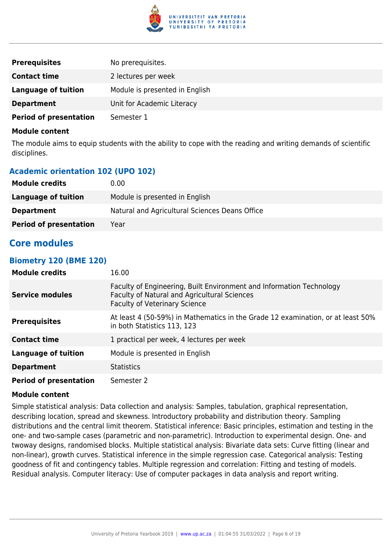

| <b>Prerequisites</b>          | No prerequisites.              |
|-------------------------------|--------------------------------|
| <b>Contact time</b>           | 2 lectures per week            |
| <b>Language of tuition</b>    | Module is presented in English |
| <b>Department</b>             | Unit for Academic Literacy     |
| <b>Period of presentation</b> | Semester 1                     |

The module aims to equip students with the ability to cope with the reading and writing demands of scientific disciplines.

# **Academic orientation 102 (UPO 102)**

| <b>Module credits</b>         | 0.00                                           |
|-------------------------------|------------------------------------------------|
| Language of tuition           | Module is presented in English                 |
| <b>Department</b>             | Natural and Agricultural Sciences Deans Office |
| <b>Period of presentation</b> | Year                                           |

# **Core modules**

#### **Biometry 120 (BME 120)**

| <b>Module credits</b>         | 16.00                                                                                                                                                        |
|-------------------------------|--------------------------------------------------------------------------------------------------------------------------------------------------------------|
| Service modules               | Faculty of Engineering, Built Environment and Information Technology<br>Faculty of Natural and Agricultural Sciences<br><b>Faculty of Veterinary Science</b> |
| <b>Prerequisites</b>          | At least 4 (50-59%) in Mathematics in the Grade 12 examination, or at least 50%<br>in both Statistics 113, 123                                               |
| <b>Contact time</b>           | 1 practical per week, 4 lectures per week                                                                                                                    |
| <b>Language of tuition</b>    | Module is presented in English                                                                                                                               |
| <b>Department</b>             | <b>Statistics</b>                                                                                                                                            |
| <b>Period of presentation</b> | Semester 2                                                                                                                                                   |

#### **Module content**

Simple statistical analysis: Data collection and analysis: Samples, tabulation, graphical representation, describing location, spread and skewness. Introductory probability and distribution theory. Sampling distributions and the central limit theorem. Statistical inference: Basic principles, estimation and testing in the one- and two-sample cases (parametric and non-parametric). Introduction to experimental design. One- and twoway designs, randomised blocks. Multiple statistical analysis: Bivariate data sets: Curve fitting (linear and non-linear), growth curves. Statistical inference in the simple regression case. Categorical analysis: Testing goodness of fit and contingency tables. Multiple regression and correlation: Fitting and testing of models. Residual analysis. Computer literacy: Use of computer packages in data analysis and report writing.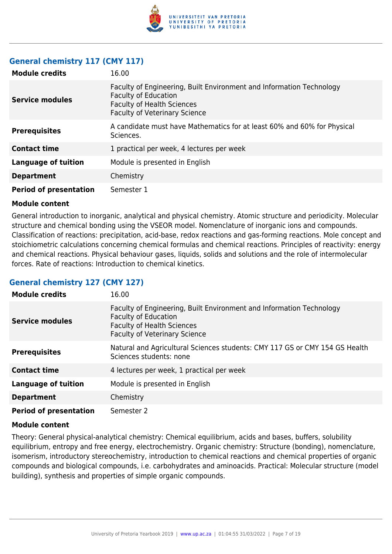

# **General chemistry 117 (CMY 117)**

| <b>Module credits</b>         | 16.00                                                                                                                                                                            |
|-------------------------------|----------------------------------------------------------------------------------------------------------------------------------------------------------------------------------|
| <b>Service modules</b>        | Faculty of Engineering, Built Environment and Information Technology<br><b>Faculty of Education</b><br><b>Faculty of Health Sciences</b><br><b>Faculty of Veterinary Science</b> |
| <b>Prerequisites</b>          | A candidate must have Mathematics for at least 60% and 60% for Physical<br>Sciences.                                                                                             |
| <b>Contact time</b>           | 1 practical per week, 4 lectures per week                                                                                                                                        |
| <b>Language of tuition</b>    | Module is presented in English                                                                                                                                                   |
| <b>Department</b>             | Chemistry                                                                                                                                                                        |
| <b>Period of presentation</b> | Semester 1                                                                                                                                                                       |

#### **Module content**

General introduction to inorganic, analytical and physical chemistry. Atomic structure and periodicity. Molecular structure and chemical bonding using the VSEOR model. Nomenclature of inorganic ions and compounds. Classification of reactions: precipitation, acid-base, redox reactions and gas-forming reactions. Mole concept and stoichiometric calculations concerning chemical formulas and chemical reactions. Principles of reactivity: energy and chemical reactions. Physical behaviour gases, liquids, solids and solutions and the role of intermolecular forces. Rate of reactions: Introduction to chemical kinetics.

# **General chemistry 127 (CMY 127)**

| <b>Module credits</b>         | 16.00                                                                                                                                                                            |
|-------------------------------|----------------------------------------------------------------------------------------------------------------------------------------------------------------------------------|
| <b>Service modules</b>        | Faculty of Engineering, Built Environment and Information Technology<br><b>Faculty of Education</b><br><b>Faculty of Health Sciences</b><br><b>Faculty of Veterinary Science</b> |
| <b>Prerequisites</b>          | Natural and Agricultural Sciences students: CMY 117 GS or CMY 154 GS Health<br>Sciences students: none                                                                           |
| <b>Contact time</b>           | 4 lectures per week, 1 practical per week                                                                                                                                        |
| <b>Language of tuition</b>    | Module is presented in English                                                                                                                                                   |
| <b>Department</b>             | Chemistry                                                                                                                                                                        |
| <b>Period of presentation</b> | Semester 2                                                                                                                                                                       |

#### **Module content**

Theory: General physical-analytical chemistry: Chemical equilibrium, acids and bases, buffers, solubility equilibrium, entropy and free energy, electrochemistry. Organic chemistry: Structure (bonding), nomenclature, isomerism, introductory stereochemistry, introduction to chemical reactions and chemical properties of organic compounds and biological compounds, i.e. carbohydrates and aminoacids. Practical: Molecular structure (model building), synthesis and properties of simple organic compounds.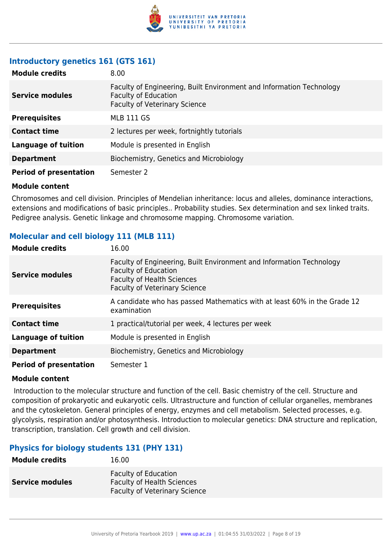

# **Introductory genetics 161 (GTS 161)**

| <b>Module credits</b>         | 8.00                                                                                                                                        |
|-------------------------------|---------------------------------------------------------------------------------------------------------------------------------------------|
| <b>Service modules</b>        | Faculty of Engineering, Built Environment and Information Technology<br><b>Faculty of Education</b><br><b>Faculty of Veterinary Science</b> |
| <b>Prerequisites</b>          | <b>MLB 111 GS</b>                                                                                                                           |
| <b>Contact time</b>           | 2 lectures per week, fortnightly tutorials                                                                                                  |
| <b>Language of tuition</b>    | Module is presented in English                                                                                                              |
| <b>Department</b>             | Biochemistry, Genetics and Microbiology                                                                                                     |
| <b>Period of presentation</b> | Semester 2                                                                                                                                  |

#### **Module content**

Chromosomes and cell division. Principles of Mendelian inheritance: locus and alleles, dominance interactions, extensions and modifications of basic principles.. Probability studies. Sex determination and sex linked traits. Pedigree analysis. Genetic linkage and chromosome mapping. Chromosome variation.

# **Molecular and cell biology 111 (MLB 111)**

| <b>Module credits</b>         | 16.00                                                                                                                                                                            |
|-------------------------------|----------------------------------------------------------------------------------------------------------------------------------------------------------------------------------|
| <b>Service modules</b>        | Faculty of Engineering, Built Environment and Information Technology<br><b>Faculty of Education</b><br><b>Faculty of Health Sciences</b><br><b>Faculty of Veterinary Science</b> |
| <b>Prerequisites</b>          | A candidate who has passed Mathematics with at least 60% in the Grade 12<br>examination                                                                                          |
| <b>Contact time</b>           | 1 practical/tutorial per week, 4 lectures per week                                                                                                                               |
| <b>Language of tuition</b>    | Module is presented in English                                                                                                                                                   |
| <b>Department</b>             | Biochemistry, Genetics and Microbiology                                                                                                                                          |
| <b>Period of presentation</b> | Semester 1                                                                                                                                                                       |

## **Module content**

 Introduction to the molecular structure and function of the cell. Basic chemistry of the cell. Structure and composition of prokaryotic and eukaryotic cells. Ultrastructure and function of cellular organelles, membranes and the cytoskeleton. General principles of energy, enzymes and cell metabolism. Selected processes, e.g. glycolysis, respiration and/or photosynthesis. Introduction to molecular genetics: DNA structure and replication, transcription, translation. Cell growth and cell division.

# **Physics for biology students 131 (PHY 131)**

| <b>Module credits</b>  | 16.00                                                                                                    |
|------------------------|----------------------------------------------------------------------------------------------------------|
| <b>Service modules</b> | <b>Faculty of Education</b><br><b>Faculty of Health Sciences</b><br><b>Faculty of Veterinary Science</b> |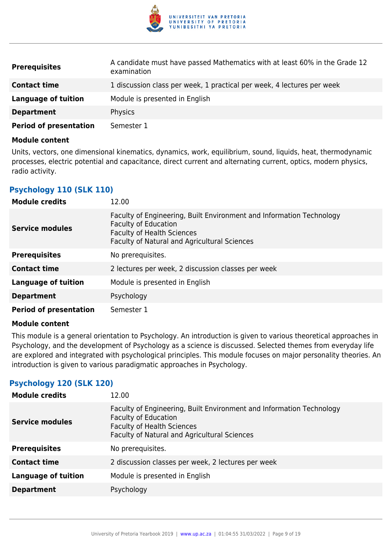

| <b>Prerequisites</b>          | A candidate must have passed Mathematics with at least 60% in the Grade 12<br>examination |
|-------------------------------|-------------------------------------------------------------------------------------------|
| <b>Contact time</b>           | 1 discussion class per week, 1 practical per week, 4 lectures per week                    |
| Language of tuition           | Module is presented in English                                                            |
| <b>Department</b>             | <b>Physics</b>                                                                            |
| <b>Period of presentation</b> | Semester 1                                                                                |

Units, vectors, one dimensional kinematics, dynamics, work, equilibrium, sound, liquids, heat, thermodynamic processes, electric potential and capacitance, direct current and alternating current, optics, modern physics, radio activity.

# **Psychology 110 (SLK 110)**

| <b>Module credits</b>         | 12.00                                                                                                                                                                                    |
|-------------------------------|------------------------------------------------------------------------------------------------------------------------------------------------------------------------------------------|
| <b>Service modules</b>        | Faculty of Engineering, Built Environment and Information Technology<br><b>Faculty of Education</b><br><b>Faculty of Health Sciences</b><br>Faculty of Natural and Agricultural Sciences |
| <b>Prerequisites</b>          | No prerequisites.                                                                                                                                                                        |
| <b>Contact time</b>           | 2 lectures per week, 2 discussion classes per week                                                                                                                                       |
| <b>Language of tuition</b>    | Module is presented in English                                                                                                                                                           |
| <b>Department</b>             | Psychology                                                                                                                                                                               |
| <b>Period of presentation</b> | Semester 1                                                                                                                                                                               |

## **Module content**

This module is a general orientation to Psychology. An introduction is given to various theoretical approaches in Psychology, and the development of Psychology as a science is discussed. Selected themes from everyday life are explored and integrated with psychological principles. This module focuses on major personality theories. An introduction is given to various paradigmatic approaches in Psychology.

# **Psychology 120 (SLK 120)**

| <b>Module credits</b>      | 12.00                                                                                                                                                                                    |
|----------------------------|------------------------------------------------------------------------------------------------------------------------------------------------------------------------------------------|
| <b>Service modules</b>     | Faculty of Engineering, Built Environment and Information Technology<br><b>Faculty of Education</b><br><b>Faculty of Health Sciences</b><br>Faculty of Natural and Agricultural Sciences |
| <b>Prerequisites</b>       | No prerequisites.                                                                                                                                                                        |
| <b>Contact time</b>        | 2 discussion classes per week, 2 lectures per week                                                                                                                                       |
| <b>Language of tuition</b> | Module is presented in English                                                                                                                                                           |
| <b>Department</b>          | Psychology                                                                                                                                                                               |
|                            |                                                                                                                                                                                          |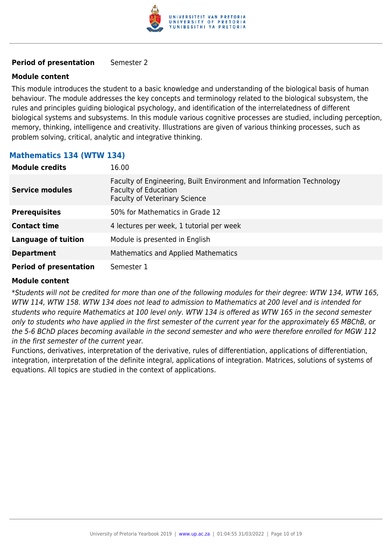

#### **Period of presentation** Semester 2

#### **Module content**

This module introduces the student to a basic knowledge and understanding of the biological basis of human behaviour. The module addresses the key concepts and terminology related to the biological subsystem, the rules and principles guiding biological psychology, and identification of the interrelatedness of different biological systems and subsystems. In this module various cognitive processes are studied, including perception, memory, thinking, intelligence and creativity. Illustrations are given of various thinking processes, such as problem solving, critical, analytic and integrative thinking.

# **Mathematics 134 (WTW 134)**

| <b>Module credits</b>         | 16.00                                                                                                                                       |
|-------------------------------|---------------------------------------------------------------------------------------------------------------------------------------------|
| <b>Service modules</b>        | Faculty of Engineering, Built Environment and Information Technology<br><b>Faculty of Education</b><br><b>Faculty of Veterinary Science</b> |
| <b>Prerequisites</b>          | 50% for Mathematics in Grade 12                                                                                                             |
| <b>Contact time</b>           | 4 lectures per week, 1 tutorial per week                                                                                                    |
| <b>Language of tuition</b>    | Module is presented in English                                                                                                              |
| <b>Department</b>             | <b>Mathematics and Applied Mathematics</b>                                                                                                  |
| <b>Period of presentation</b> | Semester 1                                                                                                                                  |

#### **Module content**

\*Students will not be credited for more than one of the following modules for their degree: WTW 134, WTW 165, WTW 114, WTW 158. WTW 134 does not lead to admission to Mathematics at 200 level and is intended for students who require Mathematics at 100 level only. WTW 134 is offered as WTW 165 in the second semester only to students who have applied in the first semester of the current year for the approximately 65 MBChB, or the 5-6 BChD places becoming available in the second semester and who were therefore enrolled for MGW 112 in the first semester of the current year.

Functions, derivatives, interpretation of the derivative, rules of differentiation, applications of differentiation, integration, interpretation of the definite integral, applications of integration. Matrices, solutions of systems of equations. All topics are studied in the context of applications.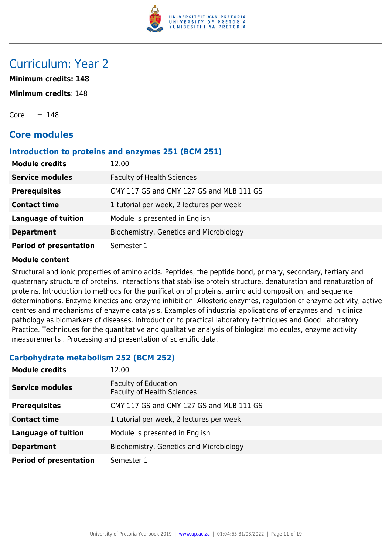

# Curriculum: Year 2

**Minimum credits: 148**

**Minimum credits**: 148

 $Core = 148$ 

# **Core modules**

## **Introduction to proteins and enzymes 251 (BCM 251)**

| <b>Module credits</b>         | 12.00                                    |
|-------------------------------|------------------------------------------|
| <b>Service modules</b>        | <b>Faculty of Health Sciences</b>        |
| <b>Prerequisites</b>          | CMY 117 GS and CMY 127 GS and MLB 111 GS |
| <b>Contact time</b>           | 1 tutorial per week, 2 lectures per week |
| <b>Language of tuition</b>    | Module is presented in English           |
| <b>Department</b>             | Biochemistry, Genetics and Microbiology  |
| <b>Period of presentation</b> | Semester 1                               |

## **Module content**

Structural and ionic properties of amino acids. Peptides, the peptide bond, primary, secondary, tertiary and quaternary structure of proteins. Interactions that stabilise protein structure, denaturation and renaturation of proteins. Introduction to methods for the purification of proteins, amino acid composition, and sequence determinations. Enzyme kinetics and enzyme inhibition. Allosteric enzymes, regulation of enzyme activity, active centres and mechanisms of enzyme catalysis. Examples of industrial applications of enzymes and in clinical pathology as biomarkers of diseases. Introduction to practical laboratory techniques and Good Laboratory Practice. Techniques for the quantitative and qualitative analysis of biological molecules, enzyme activity measurements . Processing and presentation of scientific data.

# **Carbohydrate metabolism 252 (BCM 252)**

| <b>Module credits</b>         | 12.00                                                            |
|-------------------------------|------------------------------------------------------------------|
| <b>Service modules</b>        | <b>Faculty of Education</b><br><b>Faculty of Health Sciences</b> |
| <b>Prerequisites</b>          | CMY 117 GS and CMY 127 GS and MLB 111 GS                         |
| <b>Contact time</b>           | 1 tutorial per week, 2 lectures per week                         |
| <b>Language of tuition</b>    | Module is presented in English                                   |
| <b>Department</b>             | Biochemistry, Genetics and Microbiology                          |
| <b>Period of presentation</b> | Semester 1                                                       |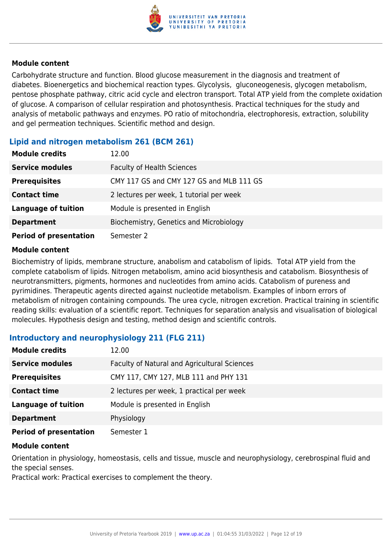

Carbohydrate structure and function. Blood glucose measurement in the diagnosis and treatment of diabetes. Bioenergetics and biochemical reaction types. Glycolysis, gluconeogenesis, glycogen metabolism, pentose phosphate pathway, citric acid cycle and electron transport. Total ATP yield from the complete oxidation of glucose. A comparison of cellular respiration and photosynthesis. Practical techniques for the study and analysis of metabolic pathways and enzymes. PO ratio of mitochondria, electrophoresis, extraction, solubility and gel permeation techniques. Scientific method and design.

# **Lipid and nitrogen metabolism 261 (BCM 261)**

| <b>Module credits</b>         | 12.00                                    |
|-------------------------------|------------------------------------------|
| <b>Service modules</b>        | <b>Faculty of Health Sciences</b>        |
| <b>Prerequisites</b>          | CMY 117 GS and CMY 127 GS and MLB 111 GS |
| <b>Contact time</b>           | 2 lectures per week, 1 tutorial per week |
| <b>Language of tuition</b>    | Module is presented in English           |
| <b>Department</b>             | Biochemistry, Genetics and Microbiology  |
| <b>Period of presentation</b> | Semester 2                               |

#### **Module content**

Biochemistry of lipids, membrane structure, anabolism and catabolism of lipids. Total ATP yield from the complete catabolism of lipids. Nitrogen metabolism, amino acid biosynthesis and catabolism. Biosynthesis of neurotransmitters, pigments, hormones and nucleotides from amino acids. Catabolism of pureness and pyrimidines. Therapeutic agents directed against nucleotide metabolism. Examples of inborn errors of metabolism of nitrogen containing compounds. The urea cycle, nitrogen excretion. Practical training in scientific reading skills: evaluation of a scientific report. Techniques for separation analysis and visualisation of biological molecules. Hypothesis design and testing, method design and scientific controls.

## **Introductory and neurophysiology 211 (FLG 211)**

| <b>Module credits</b>         | 12.00                                        |
|-------------------------------|----------------------------------------------|
| <b>Service modules</b>        | Faculty of Natural and Agricultural Sciences |
| <b>Prerequisites</b>          | CMY 117, CMY 127, MLB 111 and PHY 131        |
| <b>Contact time</b>           | 2 lectures per week, 1 practical per week    |
| <b>Language of tuition</b>    | Module is presented in English               |
| <b>Department</b>             | Physiology                                   |
| <b>Period of presentation</b> | Semester 1                                   |

#### **Module content**

Orientation in physiology, homeostasis, cells and tissue, muscle and neurophysiology, cerebrospinal fluid and the special senses.

Practical work: Practical exercises to complement the theory.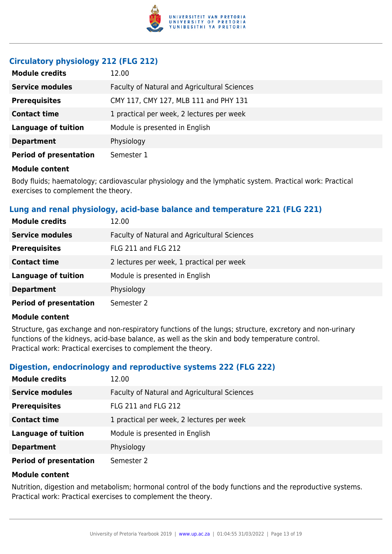

# **Circulatory physiology 212 (FLG 212)**

| <b>Module credits</b>         | 12.00                                        |
|-------------------------------|----------------------------------------------|
| <b>Service modules</b>        | Faculty of Natural and Agricultural Sciences |
| <b>Prerequisites</b>          | CMY 117, CMY 127, MLB 111 and PHY 131        |
| <b>Contact time</b>           | 1 practical per week, 2 lectures per week    |
| <b>Language of tuition</b>    | Module is presented in English               |
| <b>Department</b>             | Physiology                                   |
| <b>Period of presentation</b> | Semester 1                                   |

#### **Module content**

Body fluids; haematology; cardiovascular physiology and the lymphatic system. Practical work: Practical exercises to complement the theory.

# **Lung and renal physiology, acid-base balance and temperature 221 (FLG 221)**

| <b>Module credits</b>         | 12.00                                        |
|-------------------------------|----------------------------------------------|
| <b>Service modules</b>        | Faculty of Natural and Agricultural Sciences |
| <b>Prerequisites</b>          | FLG 211 and FLG 212                          |
| <b>Contact time</b>           | 2 lectures per week, 1 practical per week    |
| <b>Language of tuition</b>    | Module is presented in English               |
| <b>Department</b>             | Physiology                                   |
| <b>Period of presentation</b> | Semester 2                                   |

#### **Module content**

Structure, gas exchange and non-respiratory functions of the lungs; structure, excretory and non-urinary functions of the kidneys, acid-base balance, as well as the skin and body temperature control. Practical work: Practical exercises to complement the theory.

## **Digestion, endocrinology and reproductive systems 222 (FLG 222)**

| <b>Module credits</b>         | 12.00                                        |
|-------------------------------|----------------------------------------------|
| <b>Service modules</b>        | Faculty of Natural and Agricultural Sciences |
| <b>Prerequisites</b>          | FLG 211 and FLG 212                          |
| <b>Contact time</b>           | 1 practical per week, 2 lectures per week    |
| <b>Language of tuition</b>    | Module is presented in English               |
| <b>Department</b>             | Physiology                                   |
| <b>Period of presentation</b> | Semester 2                                   |

#### **Module content**

Nutrition, digestion and metabolism; hormonal control of the body functions and the reproductive systems. Practical work: Practical exercises to complement the theory.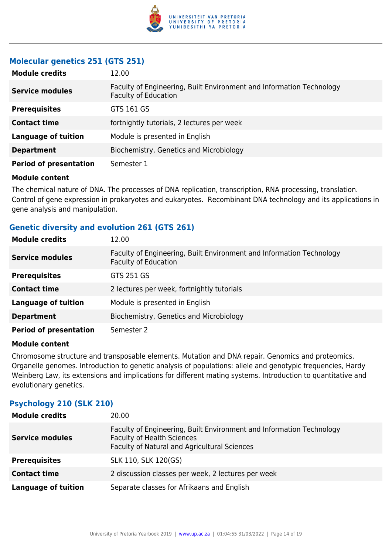

# **Molecular genetics 251 (GTS 251)**

| <b>Module credits</b>         | 12.00                                                                                               |
|-------------------------------|-----------------------------------------------------------------------------------------------------|
| <b>Service modules</b>        | Faculty of Engineering, Built Environment and Information Technology<br><b>Faculty of Education</b> |
| <b>Prerequisites</b>          | GTS 161 GS                                                                                          |
| <b>Contact time</b>           | fortnightly tutorials, 2 lectures per week                                                          |
| <b>Language of tuition</b>    | Module is presented in English                                                                      |
| <b>Department</b>             | Biochemistry, Genetics and Microbiology                                                             |
| <b>Period of presentation</b> | Semester 1                                                                                          |

#### **Module content**

The chemical nature of DNA. The processes of DNA replication, transcription, RNA processing, translation. Control of gene expression in prokaryotes and eukaryotes. Recombinant DNA technology and its applications in gene analysis and manipulation.

# **Genetic diversity and evolution 261 (GTS 261)**

| <b>Module credits</b>         | 12.00                                                                                               |
|-------------------------------|-----------------------------------------------------------------------------------------------------|
| <b>Service modules</b>        | Faculty of Engineering, Built Environment and Information Technology<br><b>Faculty of Education</b> |
| <b>Prerequisites</b>          | GTS 251 GS                                                                                          |
| <b>Contact time</b>           | 2 lectures per week, fortnightly tutorials                                                          |
| <b>Language of tuition</b>    | Module is presented in English                                                                      |
| <b>Department</b>             | Biochemistry, Genetics and Microbiology                                                             |
| <b>Period of presentation</b> | Semester 2                                                                                          |

#### **Module content**

Chromosome structure and transposable elements. Mutation and DNA repair. Genomics and proteomics. Organelle genomes. Introduction to genetic analysis of populations: allele and genotypic frequencies, Hardy Weinberg Law, its extensions and implications for different mating systems. Introduction to quantitative and evolutionary genetics.

# **Psychology 210 (SLK 210)**

| <b>Module credits</b>      | 20.00                                                                                                                                                     |
|----------------------------|-----------------------------------------------------------------------------------------------------------------------------------------------------------|
| <b>Service modules</b>     | Faculty of Engineering, Built Environment and Information Technology<br><b>Faculty of Health Sciences</b><br>Faculty of Natural and Agricultural Sciences |
| <b>Prerequisites</b>       | SLK 110, SLK 120(GS)                                                                                                                                      |
| <b>Contact time</b>        | 2 discussion classes per week, 2 lectures per week                                                                                                        |
| <b>Language of tuition</b> | Separate classes for Afrikaans and English                                                                                                                |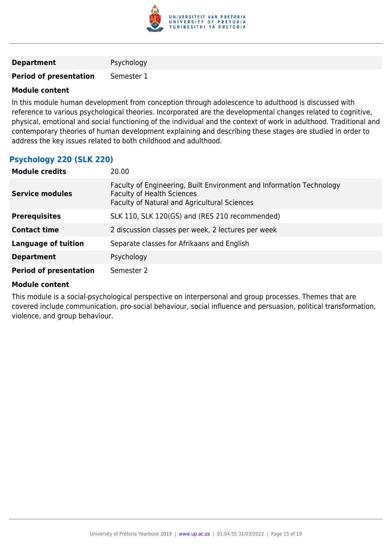

#### **Department** Psychology

**Period of presentation** Semester 1

## **Module content**

In this module human development from conception through adolescence to adulthood is discussed with reference to various psychological theories. Incorporated are the developmental changes related to cognitive, physical, emotional and social functioning of the individual and the context of work in adulthood. Traditional and contemporary theories of human development explaining and describing these stages are studied in order to address the key issues related to both childhood and adulthood.

# **Psychology 220 (SLK 220)**

| <b>Module credits</b>         | 20.00                                                                                                                                                     |
|-------------------------------|-----------------------------------------------------------------------------------------------------------------------------------------------------------|
| <b>Service modules</b>        | Faculty of Engineering, Built Environment and Information Technology<br><b>Faculty of Health Sciences</b><br>Faculty of Natural and Agricultural Sciences |
| <b>Prerequisites</b>          | SLK 110, SLK 120(GS) and (RES 210 recommended)                                                                                                            |
| <b>Contact time</b>           | 2 discussion classes per week, 2 lectures per week                                                                                                        |
| <b>Language of tuition</b>    | Separate classes for Afrikaans and English                                                                                                                |
| <b>Department</b>             | Psychology                                                                                                                                                |
| <b>Period of presentation</b> | Semester 2                                                                                                                                                |

## **Module content**

This module is a social-psychological perspective on interpersonal and group processes. Themes that are covered include communication, pro-social behaviour, social influence and persuasion, political transformation, violence, and group behaviour.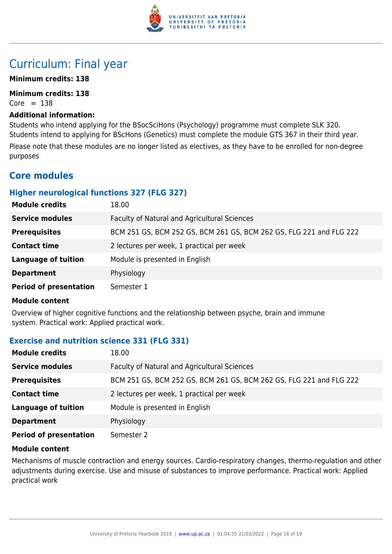

# Curriculum: Final year

## **Minimum credits: 138**

**Minimum credits: 138**  $Core = 138$ 

#### **Additional information:**

Students who intend applying for the BSocSciHons (Psychology) programme must complete SLK 320. Students intend to applying for BScHons (Genetics) must complete the module GTS 367 in their third year. Please note that these modules are no longer listed as electives, as they have to be enrolled for non-degree purposes

# **Core modules**

# **Higher neurological functions 327 (FLG 327)**

| <b>Module credits</b>         | 18.00                                                               |
|-------------------------------|---------------------------------------------------------------------|
| <b>Service modules</b>        | Faculty of Natural and Agricultural Sciences                        |
| <b>Prerequisites</b>          | BCM 251 GS, BCM 252 GS, BCM 261 GS, BCM 262 GS, FLG 221 and FLG 222 |
| <b>Contact time</b>           | 2 lectures per week, 1 practical per week                           |
| <b>Language of tuition</b>    | Module is presented in English                                      |
| <b>Department</b>             | Physiology                                                          |
| <b>Period of presentation</b> | Semester 1                                                          |

#### **Module content**

Overview of higher cognitive functions and the relationship between psyche, brain and immune system. Practical work: Applied practical work.

# **Exercise and nutrition science 331 (FLG 331)**

| <b>Module credits</b>         | 18.00                                                               |
|-------------------------------|---------------------------------------------------------------------|
| <b>Service modules</b>        | Faculty of Natural and Agricultural Sciences                        |
| <b>Prerequisites</b>          | BCM 251 GS, BCM 252 GS, BCM 261 GS, BCM 262 GS, FLG 221 and FLG 222 |
| <b>Contact time</b>           | 2 lectures per week, 1 practical per week                           |
| <b>Language of tuition</b>    | Module is presented in English                                      |
| <b>Department</b>             | Physiology                                                          |
| <b>Period of presentation</b> | Semester 2                                                          |

## **Module content**

Mechanisms of muscle contraction and energy sources. Cardio-respiratory changes, thermo-regulation and other adjustments during exercise. Use and misuse of substances to improve performance. Practical work: Applied practical work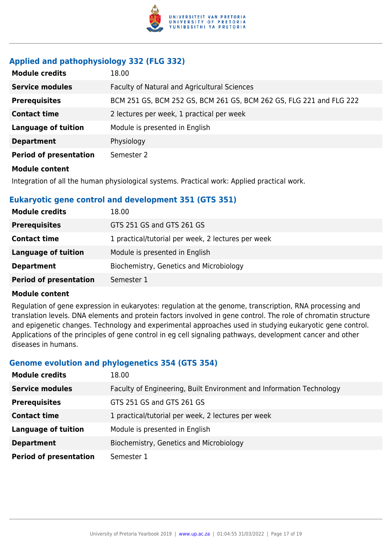

# **Applied and pathophysiology 332 (FLG 332)**

| <b>Module credits</b>         | 18.00                                                               |
|-------------------------------|---------------------------------------------------------------------|
| <b>Service modules</b>        | Faculty of Natural and Agricultural Sciences                        |
| <b>Prerequisites</b>          | BCM 251 GS, BCM 252 GS, BCM 261 GS, BCM 262 GS, FLG 221 and FLG 222 |
| <b>Contact time</b>           | 2 lectures per week, 1 practical per week                           |
| <b>Language of tuition</b>    | Module is presented in English                                      |
| <b>Department</b>             | Physiology                                                          |
| <b>Period of presentation</b> | Semester 2                                                          |
| <b>Module content</b>         |                                                                     |

Integration of all the human physiological systems. Practical work: Applied practical work.

# **Eukaryotic gene control and development 351 (GTS 351)**

| <b>Module credits</b>         | 18.00                                              |
|-------------------------------|----------------------------------------------------|
| <b>Prerequisites</b>          | GTS 251 GS and GTS 261 GS                          |
| <b>Contact time</b>           | 1 practical/tutorial per week, 2 lectures per week |
| <b>Language of tuition</b>    | Module is presented in English                     |
| <b>Department</b>             | Biochemistry, Genetics and Microbiology            |
| <b>Period of presentation</b> | Semester 1                                         |

#### **Module content**

Regulation of gene expression in eukaryotes: regulation at the genome, transcription, RNA processing and translation levels. DNA elements and protein factors involved in gene control. The role of chromatin structure and epigenetic changes. Technology and experimental approaches used in studying eukaryotic gene control. Applications of the principles of gene control in eg cell signaling pathways, development cancer and other diseases in humans.

## **Genome evolution and phylogenetics 354 (GTS 354)**

| <b>Module credits</b>         | 18.00                                                                |
|-------------------------------|----------------------------------------------------------------------|
| <b>Service modules</b>        | Faculty of Engineering, Built Environment and Information Technology |
| <b>Prerequisites</b>          | GTS 251 GS and GTS 261 GS                                            |
| <b>Contact time</b>           | 1 practical/tutorial per week, 2 lectures per week                   |
| <b>Language of tuition</b>    | Module is presented in English                                       |
| <b>Department</b>             | Biochemistry, Genetics and Microbiology                              |
| <b>Period of presentation</b> | Semester 1                                                           |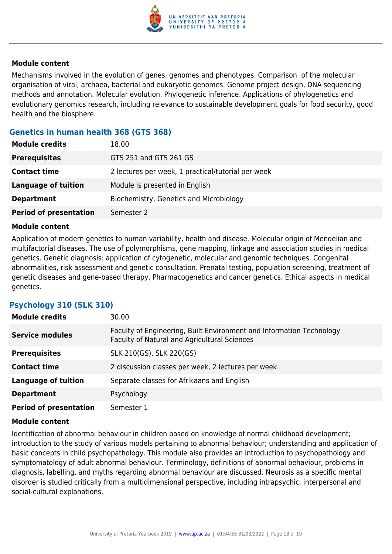

Mechanisms involved in the evolution of genes, genomes and phenotypes. Comparison of the molecular organisation of viral, archaea, bacterial and eukaryotic genomes. Genome project design, DNA sequencing methods and annotation. Molecular evolution. Phylogenetic inference. Applications of phylogenetics and evolutionary genomics research, including relevance to sustainable development goals for food security, good health and the biosphere.

# **Genetics in human health 368 (GTS 368)**

| <b>Module credits</b>         | 18.00                                              |
|-------------------------------|----------------------------------------------------|
| <b>Prerequisites</b>          | GTS 251 and GTS 261 GS                             |
| <b>Contact time</b>           | 2 lectures per week, 1 practical/tutorial per week |
| <b>Language of tuition</b>    | Module is presented in English                     |
| <b>Department</b>             | Biochemistry, Genetics and Microbiology            |
| <b>Period of presentation</b> | Semester 2                                         |

#### **Module content**

Application of modern genetics to human variability, health and disease. Molecular origin of Mendelian and multifactorial diseases. The use of polymorphisms, gene mapping, linkage and association studies in medical genetics. Genetic diagnosis: application of cytogenetic, molecular and genomic techniques. Congenital abnormalities, risk assessment and genetic consultation. Prenatal testing, population screening, treatment of genetic diseases and gene-based therapy. Pharmacogenetics and cancer genetics. Ethical aspects in medical genetics.

# **Psychology 310 (SLK 310)**

| <b>Module credits</b>         | 30.00                                                                                                                |
|-------------------------------|----------------------------------------------------------------------------------------------------------------------|
| <b>Service modules</b>        | Faculty of Engineering, Built Environment and Information Technology<br>Faculty of Natural and Agricultural Sciences |
| <b>Prerequisites</b>          | SLK 210(GS), SLK 220(GS)                                                                                             |
| <b>Contact time</b>           | 2 discussion classes per week, 2 lectures per week                                                                   |
| <b>Language of tuition</b>    | Separate classes for Afrikaans and English                                                                           |
| <b>Department</b>             | Psychology                                                                                                           |
| <b>Period of presentation</b> | Semester 1                                                                                                           |

#### **Module content**

Identification of abnormal behaviour in children based on knowledge of normal childhood development; introduction to the study of various models pertaining to abnormal behaviour; understanding and application of basic concepts in child psychopathology. This module also provides an introduction to psychopathology and symptomatology of adult abnormal behaviour. Terminology, definitions of abnormal behaviour, problems in diagnosis, labelling, and myths regarding abnormal behaviour are discussed. Neurosis as a specific mental disorder is studied critically from a multidimensional perspective, including intrapsychic, interpersonal and social-cultural explanations.